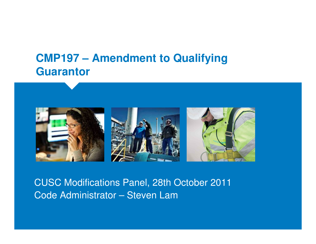## **CMP197 – Amendment to Qualifying Guarantor**



CUSC Modifications Panel, 28th October 2011Code Administrator – Steven Lam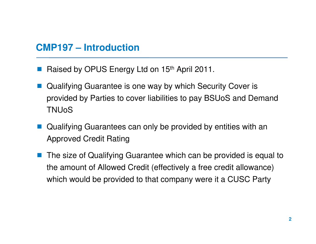#### **CMP197 – Introduction**

- **Service Service** Raised by OPUS Energy Ltd on 15<sup>th</sup> April 2011.
- **Service Service**  Qualifying Guarantee is one way by which Security Cover is provided by Parties to cover liabilities to pay BSUoS and DemandTNUoS
- **Service Service**  Qualifying Guarantees can only be provided by entities with an Approved Credit Rating
- **Service Service**  The size of Qualifying Guarantee which can be provided is equal to the amount of Allowed Credit (effectively a free credit allowance) which would be provided to that company were it a CUSC Party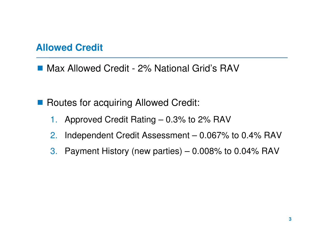#### **Allowed Credit**

■ Max Allowed Credit - 2% National Grid's RAV

Routes for acquiring Allowed Credit:

- 1.Approved Credit Rating – 0.3% to 2% RAV
- 2.Independent Credit Assessment – 0.067% to 0.4% RAV
- 3.Payment History (new parties) – 0.008% to 0.04% RAV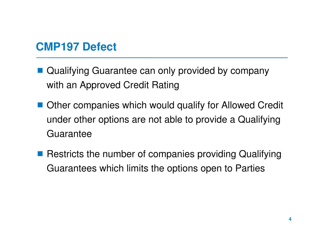# **CMP197 Defect**

- Qualifying Guarantee can only provided by company with an Approved Credit Rating
- Other companies which would qualify for Allowed Credit under other options are not able to provide a Qualifying Guarantee
- Restricts the number of companies providing Qualifying Guarantees which limits the options open to Parties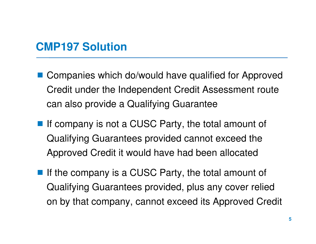#### **CMP197 Solution**

- Companies which do/would have qualified for Approved Credit under the Independent Credit Assessment route can also provide a Qualifying Guarantee
- If company is not a CUSC Party, the total amount of Qualifying Guarantees provided cannot exceed the Approved Credit it would have had been allocated
- If the company is a CUSC Party, the total amount of Qualifying Guarantees provided, plus any cover relied on by that company, cannot exceed its Approved Credit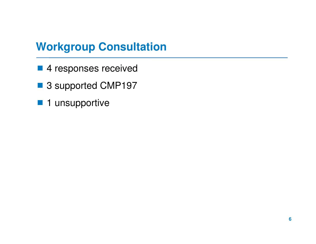# **Workgroup Consultation**

- 4 responses received
- 3 supported CMP197
- 1 unsupportive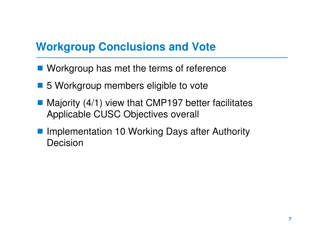# **Workgroup Conclusions and Vote**

- **Norkgroup has met the terms of reference**
- 5 Workgroup members eligible to vote
- Majority (4/1) view that CMP197 better facilitates<br>Applicable CLISC Objectives everall Applicable CUSC Objectives overall
- Implementation 10 Working Days after Authority<br>Docision Decision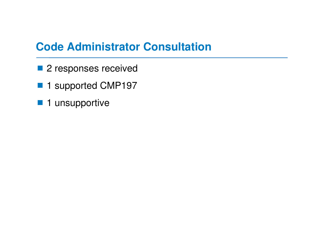# **Code Administrator Consultation**

- 2 responses received
- 1 supported CMP197
- 1 unsupportive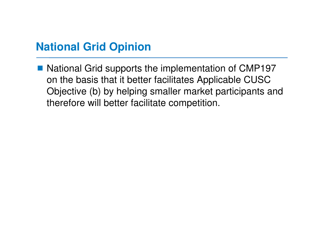## **National Grid Opinion**

■ National Grid supports the implementation of CMP197 on the basis that it better facilitates Applicable CUSC Objective (b) by helping smaller market participants and therefore will better facilitate competition.